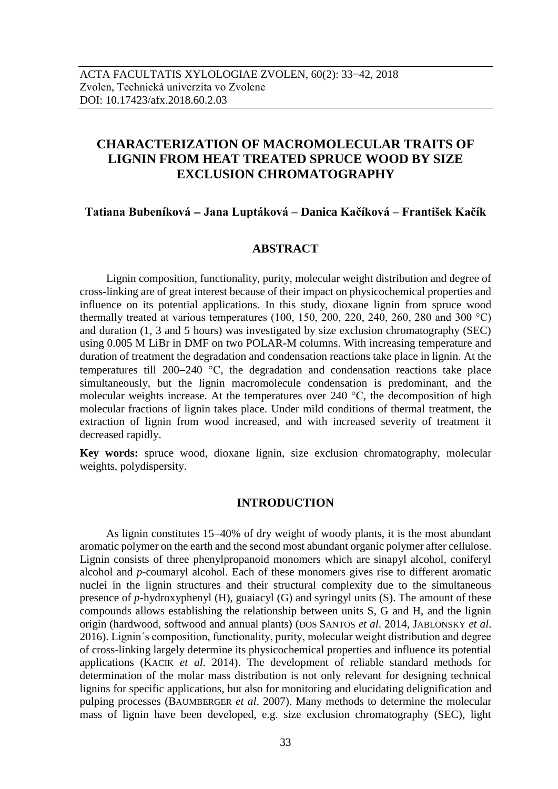# **CHARACTERIZATION OF MACROMOLECULAR TRAITS OF LIGNIN FROM HEAT TREATED SPRUCE WOOD BY SIZE EXCLUSION CHROMATOGRAPHY**

### **Tatiana Bubeníková Jana Luptáková – Danica Kačíková – František Kačík**

#### **ABSTRACT**

Lignin composition, functionality, purity, molecular weight distribution and degree of cross-linking are of great interest because of their impact on physicochemical properties and influence on its potential applications. In this study, dioxane lignin from spruce wood thermally treated at various temperatures (100, 150, 200, 220, 240, 260, 280 and 300 °C) and duration (1, 3 and 5 hours) was investigated by size exclusion chromatography (SEC) using 0.005 M LiBr in DMF on two POLAR-M columns. With increasing temperature and duration of treatment the degradation and condensation reactions take place in lignin. At the temperatures till 200-240  $^{\circ}$ C, the degradation and condensation reactions take place simultaneously, but the lignin macromolecule condensation is predominant, and the molecular weights increase. At the temperatures over 240 °C, the decomposition of high molecular fractions of lignin takes place. Under mild conditions of thermal treatment, the extraction of lignin from wood increased, and with increased severity of treatment it decreased rapidly.

**Key words:** spruce wood, dioxane lignin, size exclusion chromatography, molecular weights, polydispersity.

#### **INTRODUCTION**

As lignin constitutes 15-40% of dry weight of woody plants, it is the most abundant aromatic polymer on the earth and the second most abundant organic polymer after cellulose. Lignin consists of three phenylpropanoid monomers which are sinapyl alcohol, coniferyl alcohol and *p*-coumaryl alcohol. Each of these monomers gives rise to different aromatic nuclei in the lignin structures and their structural complexity due to the simultaneous presence of *p*-hydroxyphenyl (H), guaiacyl (G) and syringyl units (S). The amount of these compounds allows establishing the relationship between units S, G and H, and the lignin origin (hardwood, softwood and annual plants) (DOS SANTOS *et al*. 2014, JABLONSKY *et al*. 2016). Lignin´s composition, functionality, purity, molecular weight distribution and degree of cross-linking largely determine its physicochemical properties and influence its potential applications (KACIK *et al*. 2014). The development of reliable standard methods for determination of the molar mass distribution is not only relevant for designing technical lignins for specific applications, but also for monitoring and elucidating delignification and pulping processes (BAUMBERGER *et al*. 2007). Many methods to determine the molecular mass of lignin have been developed, e.g. size exclusion chromatography (SEC), light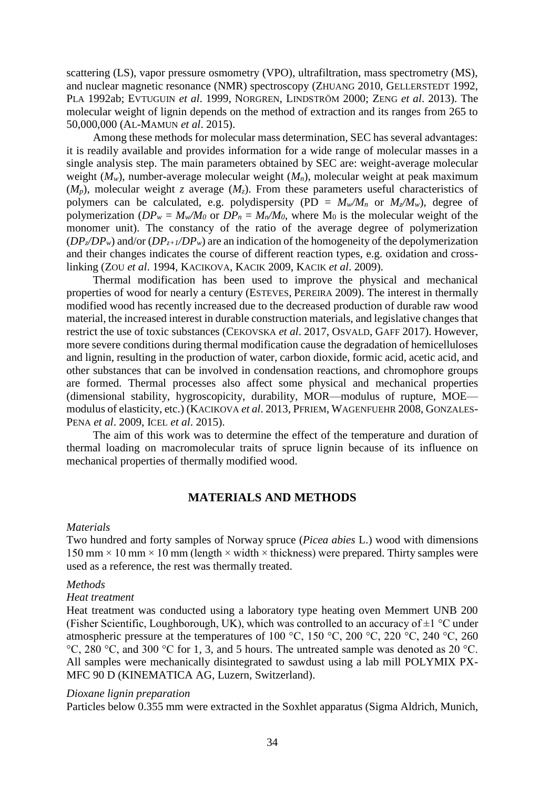scattering (LS), vapor pressure osmometry (VPO), ultrafiltration, mass spectrometry (MS), and nuclear magnetic resonance (NMR) spectroscopy (ZHUANG 2010, GELLERSTEDT 1992, PLA 1992ab; EVTUGUIN *et al*. 1999, NORGREN, LINDSTRÖM 2000; ZENG *et al*. 2013). The molecular weight of lignin depends on the method of extraction and its ranges from 265 to 50,000,000 (AL-MAMUN *et al*. 2015).

Among these methods for molecular mass determination, SEC has several advantages: it is readily available and provides information for a wide range of molecular masses in a single analysis step. The main parameters obtained by SEC are: weight-average molecular weight (*Mw*), number-average molecular weight (*Mn*), molecular weight at peak maximum  $(M_p)$ , molecular weight *z* average  $(M_z)$ . From these parameters useful characteristics of polymers can be calculated, e.g. polydispersity (PD =  $M_w/M_n$  or  $M_z/M_w$ ), degree of polymerization ( $DP_w = M_w/M_0$  or  $DP_n = M_n/M_0$ , where M<sub>0</sub> is the molecular weight of the monomer unit). The constancy of the ratio of the average degree of polymerization  $(DP_z/DP_w)$  and/or  $(DP_{z+1}/DP_w)$  are an indication of the homogeneity of the depolymerization and their changes indicates the course of different reaction types, e.g. oxidation and crosslinking (ZOU *et al*. 1994, KACIKOVA, KACIK 2009, KACIK *et al*. 2009).

Thermal modification has been used to improve the physical and mechanical properties of wood for nearly a century (ESTEVES, PEREIRA 2009). The interest in thermally modified wood has recently increased due to the decreased production of durable raw wood material, the increased interest in durable construction materials, and legislative changes that restrict the use of toxic substances (CEKOVSKA *et al*. 2017, OSVALD, GAFF 2017). However, more severe conditions during thermal modification cause the degradation of hemicelluloses and lignin, resulting in the production of water, carbon dioxide, formic acid, acetic acid, and other substances that can be involved in condensation reactions, and chromophore groups are formed. Thermal processes also affect some physical and mechanical properties (dimensional stability, hygroscopicity, durability, MOR—modulus of rupture, MOE modulus of elasticity, etc.) (KACIKOVA *et al*. 2013, PFRIEM, WAGENFUEHR 2008, GONZALES-PENA *et al*. 2009, ICEL *et al*. 2015).

The aim of this work was to determine the effect of the temperature and duration of thermal loading on macromolecular traits of spruce lignin because of its influence on mechanical properties of thermally modified wood.

### **MATERIALS AND METHODS**

#### *Materials*

Two hundred and forty samples of Norway spruce (*Picea abies* L.) wood with dimensions  $150 \text{ mm} \times 10 \text{ mm} \times 10 \text{ mm}$  (length  $\times$  width  $\times$  thickness) were prepared. Thirty samples were used as a reference, the rest was thermally treated.

#### *Methods*

#### *Heat treatment*

Heat treatment was conducted using a laboratory type heating oven Memmert UNB 200 (Fisher Scientific, Loughborough, UK), which was controlled to an accuracy of  $\pm 1$  °C under atmospheric pressure at the temperatures of 100 °C, 150 °C, 200 °C, 220 °C, 240 °C, 260 °C, 280 °C, and 300 °C for 1, 3, and 5 hours. The untreated sample was denoted as 20 °C. All samples were mechanically disintegrated to sawdust using a lab mill POLYMIX PX-MFC 90 D (KINEMATICA AG, Luzern, Switzerland).

#### *Dioxane lignin preparation*

Particles below 0.355 mm were extracted in the Soxhlet apparatus (Sigma Aldrich, Munich,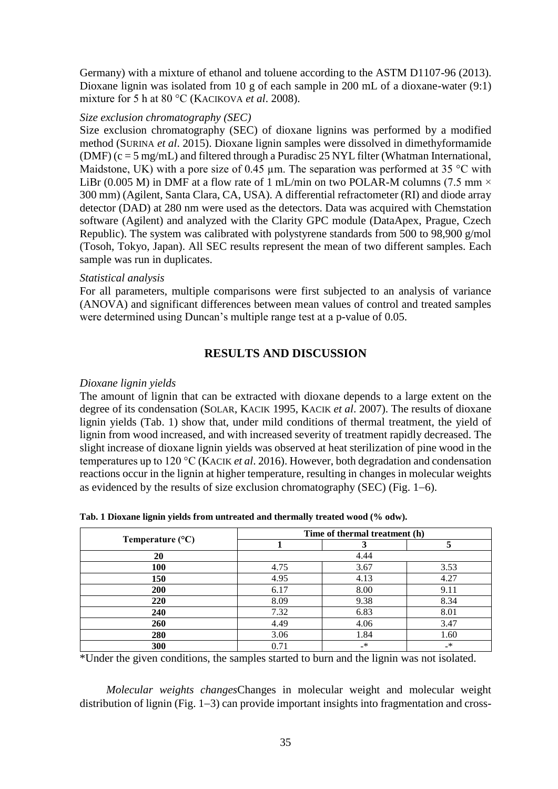Germany) with a mixture of ethanol and toluene according to the ASTM D1107-96 (2013). Dioxane lignin was isolated from 10 g of each sample in 200 mL of a dioxane-water (9:1) mixture for 5 h at 80 °C (KACIKOVA *et al*. 2008).

### *Size exclusion chromatography (SEC)*

Size exclusion chromatography (SEC) of dioxane lignins was performed by a modified method (SURINA *et al*. 2015). Dioxane lignin samples were dissolved in dimethyformamide (DMF) (c = 5 mg/mL) and filtered through a Puradisc 25 NYL filter (Whatman International, Maidstone, UK) with a pore size of 0.45  $\mu$ m. The separation was performed at 35 °C with LiBr (0.005 M) in DMF at a flow rate of 1 mL/min on two POLAR-M columns (7.5 mm  $\times$ 300 mm) (Agilent, Santa Clara, CA, USA). A differential refractometer (RI) and diode array detector (DAD) at 280 nm were used as the detectors. Data was acquired with Chemstation software (Agilent) and analyzed with the Clarity GPC module (DataApex, Prague, Czech Republic). The system was calibrated with polystyrene standards from 500 to 98,900 g/mol (Tosoh, Tokyo, Japan). All SEC results represent the mean of two different samples. Each sample was run in duplicates.

### *Statistical analysis*

For all parameters, multiple comparisons were first subjected to an analysis of variance (ANOVA) and significant differences between mean values of control and treated samples were determined using Duncan's multiple range test at a p-value of 0.05.

## **RESULTS AND DISCUSSION**

### *Dioxane lignin yields*

The amount of lignin that can be extracted with dioxane depends to a large extent on the degree of its condensation (SOLAR, KACIK 1995, KACIK *et al*. 2007). The results of dioxane lignin yields (Tab. 1) show that, under mild conditions of thermal treatment, the yield of lignin from wood increased, and with increased severity of treatment rapidly decreased. The slight increase of dioxane lignin yields was observed at heat sterilization of pine wood in the temperatures up to 120 °C (KACIK *et al*. 2016). However, both degradation and condensation reactions occur in the lignin at higher temperature, resulting in changes in molecular weights as evidenced by the results of size exclusion chromatography (SEC) (Fig.  $1-6$ ).

| Temperature $(^{\circ}C)$ | Time of thermal treatment (h) |         |               |
|---------------------------|-------------------------------|---------|---------------|
|                           |                               |         |               |
| 20                        | 4.44                          |         |               |
| <b>100</b>                | 4.75                          | 3.67    | 3.53          |
| 150                       | 4.95                          | 4.13    | 4.27          |
| <b>200</b>                | 6.17                          | 8.00    | 9.11          |
| 220                       | 8.09                          | 9.38    | 8.34          |
| 240                       | 7.32                          | 6.83    | 8.01          |
| 260                       | 4.49                          | 4.06    | 3.47          |
| 280                       | 3.06                          | 1.84    | 1.60          |
| 300                       | 0.71                          | $_{-*}$ | $\rightarrow$ |

**Tab. 1 Dioxane lignin yields from untreated and thermally treated wood (% odw).**

\*Under the given conditions, the samples started to burn and the lignin was not isolated.

*Molecular weights changes*Changes in molecular weight and molecular weight distribution of lignin (Fig.  $1-3$ ) can provide important insights into fragmentation and cross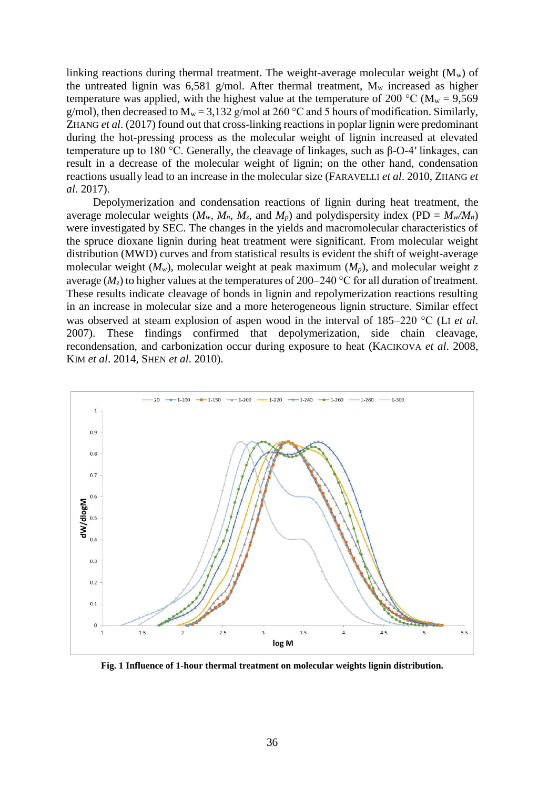linking reactions during thermal treatment. The weight-average molecular weight  $(M_w)$  of the untreated lignin was  $6,581$  g/mol. After thermal treatment,  $M_w$  increased as higher temperature was applied, with the highest value at the temperature of 200 °C ( $M_w = 9.569$ ) g/mol), then decreased to  $M_w = 3,132$  g/mol at 260 °C and 5 hours of modification. Similarly, ZHANG *et al*. (2017) found out that cross-linking reactions in poplar lignin were predominant during the hot-pressing process as the molecular weight of lignin increased at elevated temperature up to 180 °C. Generally, the cleavage of linkages, such as  $\beta$ -O-4' linkages, can result in a decrease of the molecular weight of lignin; on the other hand, condensation reactions usually lead to an increase in the molecular size (FARAVELLI *et al*. 2010, ZHANG *et al*. 2017).

Depolymerization and condensation reactions of lignin during heat treatment, the average molecular weights ( $M_w$ ,  $M_n$ ,  $M_z$ , and  $M_p$ ) and polydispersity index (PD =  $M_w/M_n$ ) were investigated by SEC. The changes in the yields and macromolecular characteristics of the spruce dioxane lignin during heat treatment were significant. From molecular weight distribution (MWD) curves and from statistical results is evident the shift of weight-average molecular weight  $(M_w)$ , molecular weight at peak maximum  $(M_p)$ , and molecular weight *z* average ( $M_z$ ) to higher values at the temperatures of 200–240 °C for all duration of treatment. These results indicate cleavage of bonds in lignin and repolymerization reactions resulting in an increase in molecular size and a more heterogeneous lignin structure. Similar effect was observed at steam explosion of aspen wood in the interval of 185–220 °C (LI *et al.*) 2007). These findings confirmed that depolymerization, side chain cleavage, recondensation, and carbonization occur during exposure to heat (KACIKOVA *et al*. 2008, KIM *et al*. 2014, SHEN *et al*. 2010).



**Fig. 1 Influence of 1-hour thermal treatment on molecular weights lignin distribution.**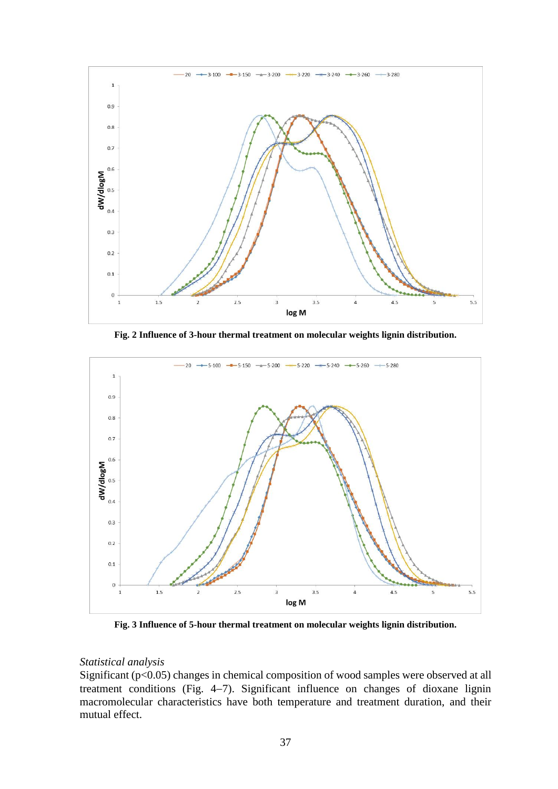

**Fig. 2 Influence of 3-hour thermal treatment on molecular weights lignin distribution.**



**Fig. 3 Influence of 5-hour thermal treatment on molecular weights lignin distribution.**

#### *Statistical analysis*

Significant (p<0.05) changes in chemical composition of wood samples were observed at all treatment conditions (Fig.  $4-7$ ). Significant influence on changes of dioxane lignin macromolecular characteristics have both temperature and treatment duration, and their mutual effect.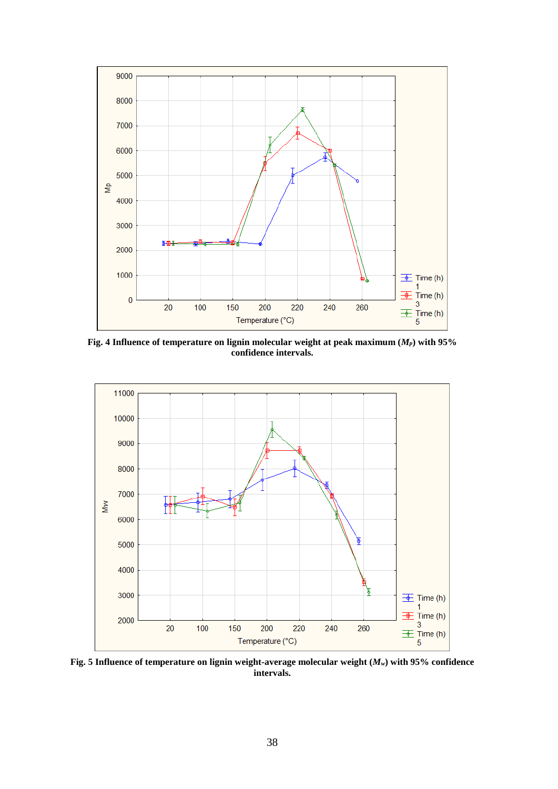

**Fig. 4 Influence of temperature on lignin molecular weight at peak maximum (***Mp***) with 95% confidence intervals.**



**Fig. 5 Influence of temperature on lignin weight-average molecular weight (***Mw***) with 95% confidence intervals.**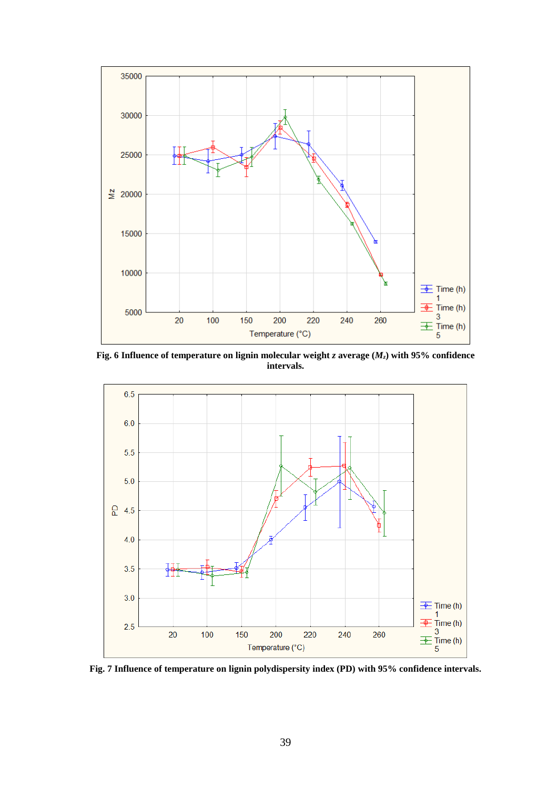

**Fig. 6 Influence of temperature on lignin molecular weight** *z* **average (***Mz***) with 95% confidence intervals.**



**Fig. 7 Influence of temperature on lignin polydispersity index (PD) with 95% confidence intervals.**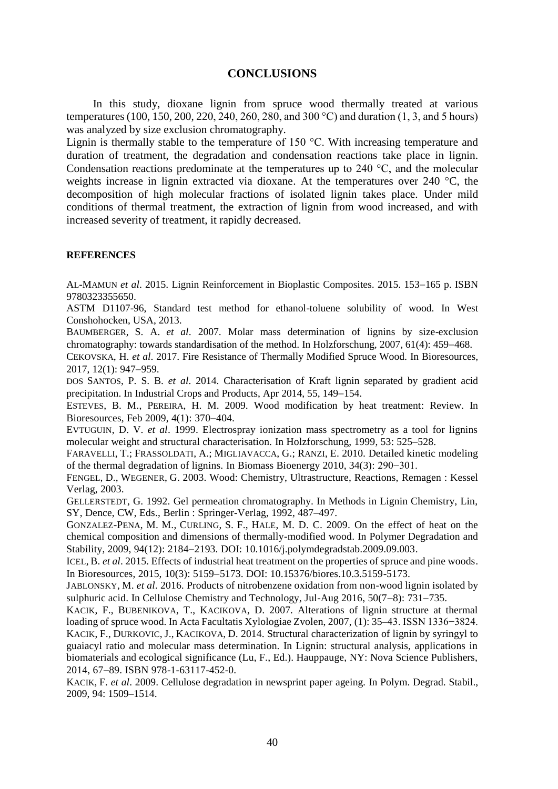#### **CONCLUSIONS**

In this study, dioxane lignin from spruce wood thermally treated at various temperatures (100, 150, 200, 220, 240, 260, 280, and 300 °C) and duration (1, 3, and 5 hours) was analyzed by size exclusion chromatography.

Lignin is thermally stable to the temperature of 150 °C. With increasing temperature and duration of treatment, the degradation and condensation reactions take place in lignin. Condensation reactions predominate at the temperatures up to 240 °C, and the molecular weights increase in lignin extracted via dioxane. At the temperatures over 240 °C, the decomposition of high molecular fractions of isolated lignin takes place. Under mild conditions of thermal treatment, the extraction of lignin from wood increased, and with increased severity of treatment, it rapidly decreased.

#### **REFERENCES**

AL-MAMUN *et al.* 2015. Lignin Reinforcement in Bioplastic Composites. 2015. 153-165 p. ISBN 9780323355650.

ASTM D1107-96, Standard test method for ethanol-toluene solubility of wood. In West Conshohocken, USA, 2013.

BAUMBERGER, S. A. *et al*. 2007. Molar mass determination of lignins by size-exclusion chromatography: towards standardisation of the method. In Holzforschung,  $2007, 61(4)$ : 459–468.

CEKOVSKA, H. *et al*. 2017. Fire Resistance of Thermally Modified Spruce Wood. In Bioresources, 2017, 12(1): 947-959.

DOS SANTOS, P. S. B. *et al*. 2014. Characterisation of Kraft lignin separated by gradient acid precipitation. In Industrial Crops and Products, Apr 2014, 55, 149–154.

ESTEVES, B. M., PEREIRA, H. M. 2009. Wood modification by heat treatment: Review. In Bioresources, Feb 2009,  $4(1)$ : 370–404.

EVTUGUIN, D. V. *et al*. 1999. Electrospray ionization mass spectrometry as a tool for lignins molecular weight and structural characterisation. In Holzforschung, 1999, 53: 525–528.

FARAVELLI, T.; FRASSOLDATI, A.; MIGLIAVACCA, G.; RANZI, E. 2010. Detailed kinetic modeling of the thermal degradation of lignins. In Biomass Bioenergy 2010, 34(3): 290−301.

FENGEL, D., WEGENER, G. 2003. Wood: Chemistry, Ultrastructure, Reactions, Remagen : Kessel Verlag, 2003.

GELLERSTEDT, G. 1992. Gel permeation chromatography. In Methods in Lignin Chemistry, Lin, SY, Dence, CW, Eds., Berlin : Springer-Verlag, 1992, 487–497.

GONZALEZ-PENA, M. M., CURLING, S. F., HALE, M. D. C. 2009. On the effect of heat on the chemical composition and dimensions of thermally-modified wood. In Polymer Degradation and Stability, 2009, 94(12): 2184–2193. DOI: 10.1016/j.polymdegradstab.2009.09.003.

ICEL, B. *et al*. 2015. Effects of industrial heat treatment on the properties of spruce and pine woods. In Bioresources, 2015, 10(3): 51595173. DOI: 10.15376/biores.10.3.5159-5173.

JABLONSKY, M. *et al*. 2016. Products of nitrobenzene oxidation from non-wood lignin isolated by sulphuric acid. In Cellulose Chemistry and Technology, Jul-Aug  $2016$ ,  $50(7-8)$ : 731-735.

KACIK, F., BUBENIKOVA, T., KACIKOVA, D. 2007. Alterations of lignin structure at thermal loading of spruce wood. In Acta Facultatis Xylologiae Zvolen, 2007, (1): 35–43. ISSN 1336−3824. KACIK, F., DURKOVIC, J., KACIKOVA, D. 2014. Structural characterization of lignin by syringyl to guaiacyl ratio and molecular mass determination. In Lignin: structural analysis, applications in biomaterials and ecological significance (Lu, F., Ed.). Hauppauge, NY: Nova Science Publishers, 2014, 67-89. ISBN 978-1-63117-452-0.

KACIK, F. *et al*. 2009. Cellulose degradation in newsprint paper ageing. In Polym. Degrad. Stabil., 2009, 94: 1509–1514.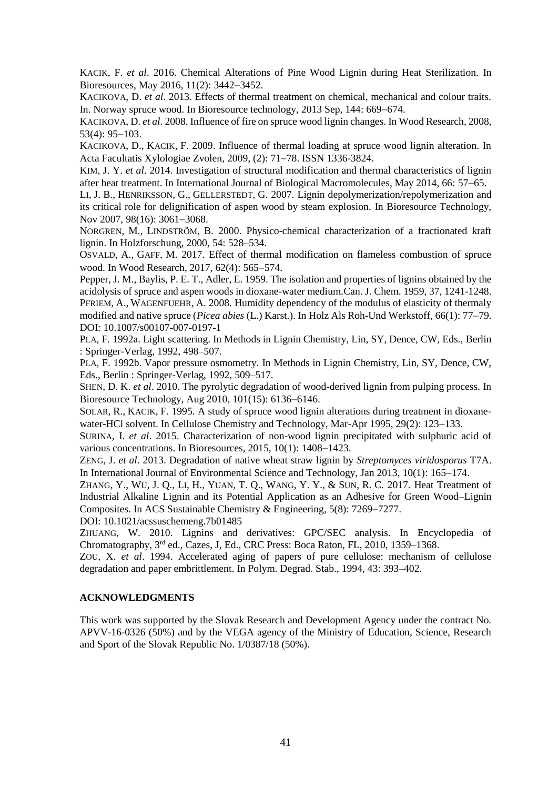KACIK, F. *et al*. 2016. Chemical Alterations of Pine Wood Lignin during Heat Sterilization. In Bioresources, May 2016, 11(2): 3442-3452.

KACIKOVA, D. *et al*. 2013. Effects of thermal treatment on chemical, mechanical and colour traits. In. Norway spruce wood. In Bioresource technology, 2013 Sep, 144: 669–674.

KACIKOVA, D. *et al*. 2008. Influence of fire on spruce wood lignin changes. In Wood Research, 2008,  $53(4): 95-103.$ 

KACIKOVA, D., KACIK, F. 2009. Influence of thermal loading at spruce wood lignin alteration. In Acta Facultatis Xylologiae Zyolen, 2009, (2): 71–78. ISSN 1336-3824.

KIM, J. Y. *et al*. 2014. Investigation of structural modification and thermal characteristics of lignin after heat treatment. In International Journal of Biological Macromolecules, May 2014, 66: 57–65.

LI, J. B., HENRIKSSON, G., GELLERSTEDT, G. 2007. Lignin depolymerization/repolymerization and its critical role for delignification of aspen wood by steam explosion. In Bioresource Technology, Nov 2007, 98(16): 3061-3068.

NORGREN, M., LINDSTRÖM, B. 2000. Physico-chemical characterization of a fractionated kraft lignin. In Holzforschung, 2000, 54: 528–534.

OSVALD, A., GAFF, M. 2017. Effect of thermal modification on flameless combustion of spruce wood. In Wood Research, 2017, 62(4): 565–574.

Pepper, J. M., Baylis, P. E. T., Adler, E. 1959. The isolation and properties of lignins obtained by the acidolysis of spruce and aspen woods in dioxane-water medium.Can. J. Chem. 1959, 37, 1241-1248. PFRIEM, A., WAGENFUEHR, A. 2008. Humidity dependency of the modulus of elasticity of thermaly modified and native spruce *(Picea abies (L.)* Karst.). In Holz Als Roh-Und Werkstoff, 66(1): 77–79. DOI: 10.1007/s00107-007-0197-1

PLA, F. 1992a. Light scattering. In Methods in Lignin Chemistry, Lin, SY, Dence, CW, Eds., Berlin : Springer-Verlag, 1992, 498–507.

PLA, F. 1992b. Vapor pressure osmometry. In Methods in Lignin Chemistry, Lin, SY, Dence, CW, Eds., Berlin : Springer-Verlag, 1992, 509–517.

SHEN, D. K. *et al*. 2010. The pyrolytic degradation of wood-derived lignin from pulping process. In Bioresource Technology, Aug  $2010$ ,  $101(15)$ : 6136–6146.

SOLAR, R., KACIK, F. 1995. A study of spruce wood lignin alterations during treatment in dioxanewater-HCl solvent. In Cellulose Chemistry and Technology, Mar-Apr 1995, 29(2): 123–133.

SURINA, I. *et al*. 2015. Characterization of non-wood lignin precipitated with sulphuric acid of various concentrations. In Bioresources,  $2015$ ,  $10(1)$ :  $1408-1423$ .

ZENG, J. *et al*. 2013. Degradation of native wheat straw lignin by *Streptomyces viridosporus* T7A. In International Journal of Environmental Science and Technology, Jan  $2013$ ,  $10(1)$ :  $165-174$ .

ZHANG, Y., WU, J. Q., LI, H., YUAN, T. Q., WANG, Y. Y., & SUN, R. C. 2017. Heat Treatment of Industrial Alkaline Lignin and its Potential Application as an Adhesive for Green Wood–Lignin Composites. In ACS Sustainable Chemistry & Engineering,  $5(8)$ : 7269–7277.

DOI: 10.1021/acssuschemeng.7b01485

ZHUANG, W. 2010. Lignins and derivatives: GPC/SEC analysis. In Encyclopedia of Chromatography, 3rd ed., Cazes, J, Ed., CRC Press: Boca Raton, FL, 2010, 1359–1368.

ZOU, X. *et al*. 1994. Accelerated aging of papers of pure cellulose: mechanism of cellulose degradation and paper embrittlement. In Polym. Degrad. Stab., 1994, 43: 393–402.

#### **ACKNOWLEDGMENTS**

This work was supported by the Slovak Research and Development Agency under the contract No. APVV-16-0326 (50%) and by the VEGA agency of the Ministry of Education, Science, Research and Sport of the Slovak Republic No. 1/0387/18 (50%).